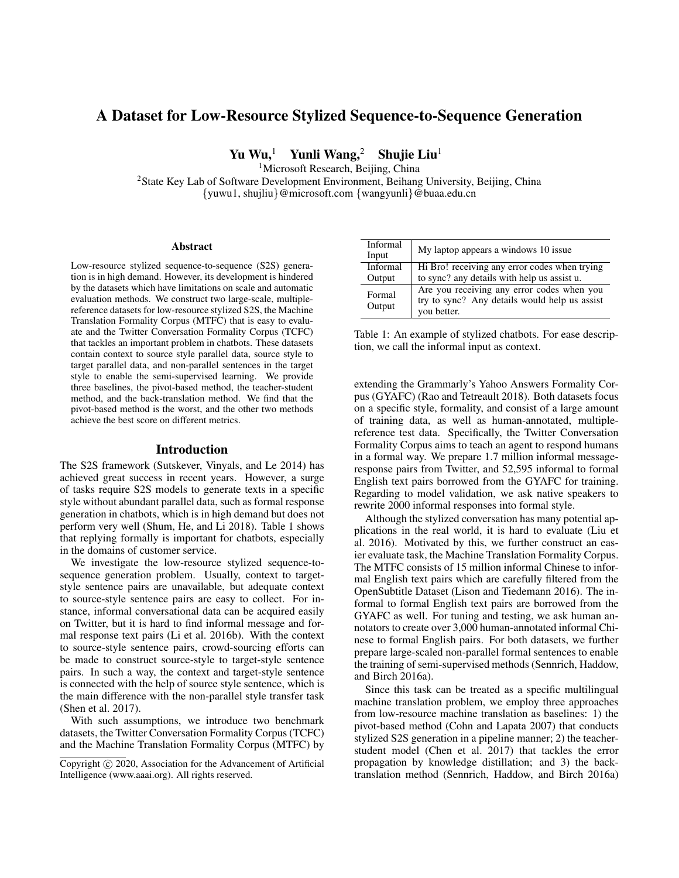# A Dataset for Low-Resource Stylized Sequence-to-Sequence Generation

Yu Wu,<sup>1</sup> Yunli Wang,<sup>2</sup> Shujie Liu<sup>1</sup>

<sup>1</sup>Microsoft Research, Beijing, China

<sup>2</sup>State Key Lab of Software Development Environment, Beihang University, Beijing, China {yuwu1, shujliu}@microsoft.com {wangyunli}@buaa.edu.cn

#### Abstract

Low-resource stylized sequence-to-sequence (S2S) generation is in high demand. However, its development is hindered by the datasets which have limitations on scale and automatic evaluation methods. We construct two large-scale, multiplereference datasets for low-resource stylized S2S, the Machine Translation Formality Corpus (MTFC) that is easy to evaluate and the Twitter Conversation Formality Corpus (TCFC) that tackles an important problem in chatbots. These datasets contain context to source style parallel data, source style to target parallel data, and non-parallel sentences in the target style to enable the semi-supervised learning. We provide three baselines, the pivot-based method, the teacher-student method, and the back-translation method. We find that the pivot-based method is the worst, and the other two methods achieve the best score on different metrics.

### Introduction

The S2S framework (Sutskever, Vinyals, and Le 2014) has achieved great success in recent years. However, a surge of tasks require S2S models to generate texts in a specific style without abundant parallel data, such as formal response generation in chatbots, which is in high demand but does not perform very well (Shum, He, and Li 2018). Table 1 shows that replying formally is important for chatbots, especially in the domains of customer service.

We investigate the low-resource stylized sequence-tosequence generation problem. Usually, context to targetstyle sentence pairs are unavailable, but adequate context to source-style sentence pairs are easy to collect. For instance, informal conversational data can be acquired easily on Twitter, but it is hard to find informal message and formal response text pairs (Li et al. 2016b). With the context to source-style sentence pairs, crowd-sourcing efforts can be made to construct source-style to target-style sentence pairs. In such a way, the context and target-style sentence is connected with the help of source style sentence, which is the main difference with the non-parallel style transfer task (Shen et al. 2017).

With such assumptions, we introduce two benchmark datasets, the Twitter Conversation Formality Corpus (TCFC) and the Machine Translation Formality Corpus (MTFC) by

| Informal<br>Input  | My laptop appears a windows 10 issue                                                                       |
|--------------------|------------------------------------------------------------------------------------------------------------|
| Informal<br>Output | Hi Bro! receiving any error codes when trying<br>to sync? any details with help us assist u.               |
| Formal<br>Output   | Are you receiving any error codes when you<br>try to sync? Any details would help us assist<br>you better. |

Table 1: An example of stylized chatbots. For ease description, we call the informal input as context.

extending the Grammarly's Yahoo Answers Formality Corpus (GYAFC) (Rao and Tetreault 2018). Both datasets focus on a specific style, formality, and consist of a large amount of training data, as well as human-annotated, multiplereference test data. Specifically, the Twitter Conversation Formality Corpus aims to teach an agent to respond humans in a formal way. We prepare 1.7 million informal messageresponse pairs from Twitter, and 52,595 informal to formal English text pairs borrowed from the GYAFC for training. Regarding to model validation, we ask native speakers to rewrite 2000 informal responses into formal style.

Although the stylized conversation has many potential applications in the real world, it is hard to evaluate (Liu et al. 2016). Motivated by this, we further construct an easier evaluate task, the Machine Translation Formality Corpus. The MTFC consists of 15 million informal Chinese to informal English text pairs which are carefully filtered from the OpenSubtitle Dataset (Lison and Tiedemann 2016). The informal to formal English text pairs are borrowed from the GYAFC as well. For tuning and testing, we ask human annotators to create over 3,000 human-annotated informal Chinese to formal English pairs. For both datasets, we further prepare large-scaled non-parallel formal sentences to enable the training of semi-supervised methods (Sennrich, Haddow, and Birch 2016a).

Since this task can be treated as a specific multilingual machine translation problem, we employ three approaches from low-resource machine translation as baselines: 1) the pivot-based method (Cohn and Lapata 2007) that conducts stylized S2S generation in a pipeline manner; 2) the teacherstudent model (Chen et al. 2017) that tackles the error propagation by knowledge distillation; and 3) the backtranslation method (Sennrich, Haddow, and Birch 2016a)

Copyright (c) 2020, Association for the Advancement of Artificial Intelligence (www.aaai.org). All rights reserved.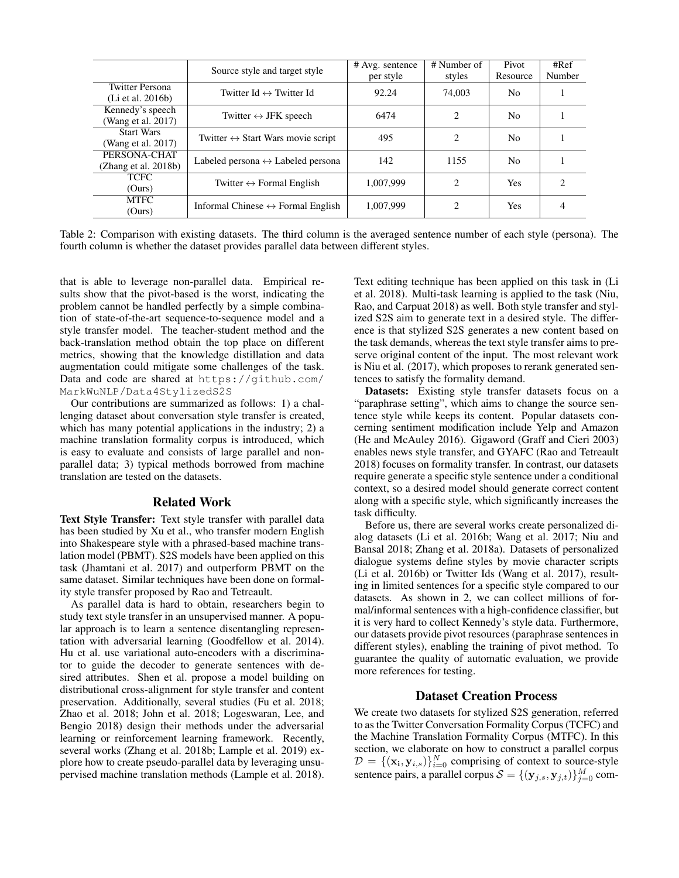|                                             | Source style and target style                     | $#$ Avg. sentence<br>per style | # Number of<br>styles       | Pivot<br>Resource | #Ref<br>Number |
|---------------------------------------------|---------------------------------------------------|--------------------------------|-----------------------------|-------------------|----------------|
| <b>Twitter Persona</b><br>(Li et al. 2016b) | Twitter Id $\leftrightarrow$ Twitter Id           | 92.24                          | 74,003                      | N <sub>0</sub>    |                |
| Kennedy's speech<br>(Wang et al. 2017)      | Twitter $\leftrightarrow$ JFK speech              | 6474                           | $\mathcal{D}_{\mathcal{L}}$ | N <sub>0</sub>    |                |
| <b>Start Wars</b><br>(Wang et al. 2017)     | Twitter $\leftrightarrow$ Start Wars movie script | 495                            | $\mathcal{D}_{\mathcal{L}}$ | N <sub>0</sub>    |                |
| PERSONA-CHAT<br>(Zhang et al. 2018b)        | Labeled persona $\leftrightarrow$ Labeled persona | 142                            | 1155                        | N <sub>0</sub>    |                |
| <b>TCFC</b><br>(Ours)                       | Twitter $\leftrightarrow$ Formal English          | 1.007.999                      | $\mathcal{D}_{\mathcal{L}}$ | Yes               | $\mathfrak{D}$ |
| <b>MTFC</b><br>(Ours)                       | Informal Chinese $\leftrightarrow$ Formal English | 1.007.999                      | $\mathcal{D}_{\mathcal{L}}$ | <b>Yes</b>        |                |

Table 2: Comparison with existing datasets. The third column is the averaged sentence number of each style (persona). The fourth column is whether the dataset provides parallel data between different styles.

that is able to leverage non-parallel data. Empirical results show that the pivot-based is the worst, indicating the problem cannot be handled perfectly by a simple combination of state-of-the-art sequence-to-sequence model and a style transfer model. The teacher-student method and the back-translation method obtain the top place on different metrics, showing that the knowledge distillation and data augmentation could mitigate some challenges of the task. Data and code are shared at https://github.com/ MarkWuNLP/Data4StylizedS2S

Our contributions are summarized as follows: 1) a challenging dataset about conversation style transfer is created, which has many potential applications in the industry; 2) a machine translation formality corpus is introduced, which is easy to evaluate and consists of large parallel and nonparallel data; 3) typical methods borrowed from machine translation are tested on the datasets.

# Related Work

Text Style Transfer: Text style transfer with parallel data has been studied by Xu et al., who transfer modern English into Shakespeare style with a phrased-based machine translation model (PBMT). S2S models have been applied on this task (Jhamtani et al. 2017) and outperform PBMT on the same dataset. Similar techniques have been done on formality style transfer proposed by Rao and Tetreault.

As parallel data is hard to obtain, researchers begin to study text style transfer in an unsupervised manner. A popular approach is to learn a sentence disentangling representation with adversarial learning (Goodfellow et al. 2014). Hu et al. use variational auto-encoders with a discriminator to guide the decoder to generate sentences with desired attributes. Shen et al. propose a model building on distributional cross-alignment for style transfer and content preservation. Additionally, several studies (Fu et al. 2018; Zhao et al. 2018; John et al. 2018; Logeswaran, Lee, and Bengio 2018) design their methods under the adversarial learning or reinforcement learning framework. Recently, several works (Zhang et al. 2018b; Lample et al. 2019) explore how to create pseudo-parallel data by leveraging unsupervised machine translation methods (Lample et al. 2018).

Text editing technique has been applied on this task in (Li et al. 2018). Multi-task learning is applied to the task (Niu, Rao, and Carpuat 2018) as well. Both style transfer and stylized S2S aim to generate text in a desired style. The difference is that stylized S2S generates a new content based on the task demands, whereas the text style transfer aims to preserve original content of the input. The most relevant work is Niu et al. (2017), which proposes to rerank generated sentences to satisfy the formality demand.

Datasets: Existing style transfer datasets focus on a "paraphrase setting", which aims to change the source sentence style while keeps its content. Popular datasets concerning sentiment modification include Yelp and Amazon (He and McAuley 2016). Gigaword (Graff and Cieri 2003) enables news style transfer, and GYAFC (Rao and Tetreault 2018) focuses on formality transfer. In contrast, our datasets require generate a specific style sentence under a conditional context, so a desired model should generate correct content along with a specific style, which significantly increases the task difficulty.

Before us, there are several works create personalized dialog datasets (Li et al. 2016b; Wang et al. 2017; Niu and Bansal 2018; Zhang et al. 2018a). Datasets of personalized dialogue systems define styles by movie character scripts (Li et al. 2016b) or Twitter Ids (Wang et al. 2017), resulting in limited sentences for a specific style compared to our datasets. As shown in 2, we can collect millions of formal/informal sentences with a high-confidence classifier, but it is very hard to collect Kennedy's style data. Furthermore, our datasets provide pivot resources (paraphrase sentences in different styles), enabling the training of pivot method. To guarantee the quality of automatic evaluation, we provide more references for testing.

### Dataset Creation Process

We create two datasets for stylized S2S generation, referred to as the Twitter Conversation Formality Corpus (TCFC) and the Machine Translation Formality Corpus (MTFC). In this section, we elaborate on how to construct a parallel corpus  $D = \{(\mathbf{x_i}, \mathbf{y}_{i,s})\}_{i=0}^N$  comprising of context to source-style sentence pairs, a parallel corpus  $\mathcal{S} = \{(\mathbf{y}_{j,s}, \mathbf{y}_{j,t})\}_{j=0}^M$  com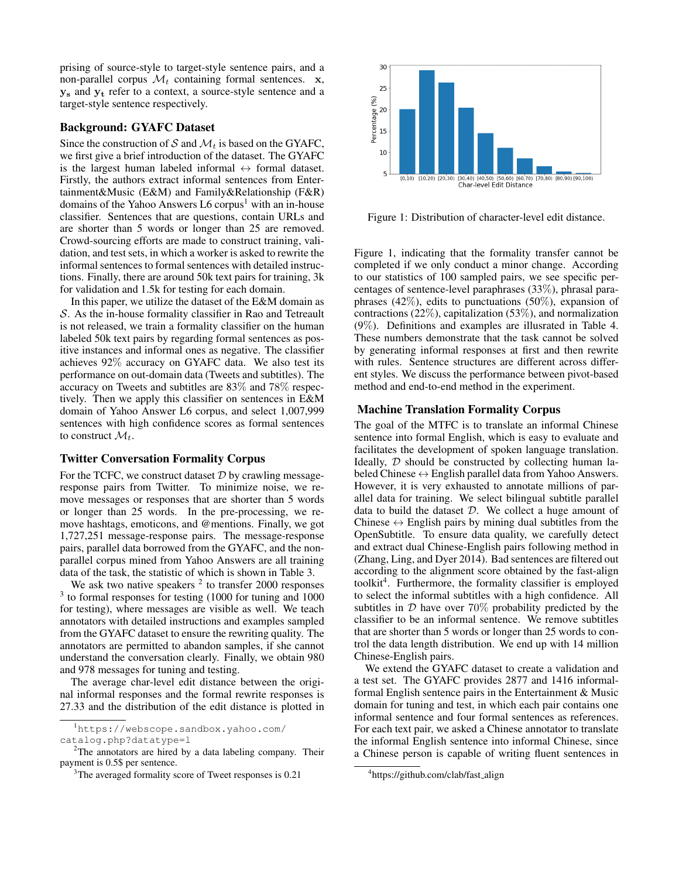prising of source-style to target-style sentence pairs, and a non-parallel corpus  $\mathcal{M}_t$  containing formal sentences. x, y<sup>s</sup> and y<sup>t</sup> refer to a context, a source-style sentence and a target-style sentence respectively.

# Background: GYAFC Dataset

Since the construction of S and  $\mathcal{M}_t$  is based on the GYAFC, we first give a brief introduction of the dataset. The GYAFC is the largest human labeled informal  $\leftrightarrow$  formal dataset. Firstly, the authors extract informal sentences from Entertainment&Music (E&M) and Family&Relationship (F&R) domains of the Yahoo Answers  $L6$  corpus<sup>1</sup> with an in-house classifier. Sentences that are questions, contain URLs and are shorter than 5 words or longer than 25 are removed. Crowd-sourcing efforts are made to construct training, validation, and test sets, in which a worker is asked to rewrite the informal sentences to formal sentences with detailed instructions. Finally, there are around 50k text pairs for training, 3k for validation and 1.5k for testing for each domain.

In this paper, we utilize the dataset of the E&M domain as S. As the in-house formality classifier in Rao and Tetreault is not released, we train a formality classifier on the human labeled 50k text pairs by regarding formal sentences as positive instances and informal ones as negative. The classifier achieves 92% accuracy on GYAFC data. We also test its performance on out-domain data (Tweets and subtitles). The accuracy on Tweets and subtitles are 83% and 78% respectively. Then we apply this classifier on sentences in E&M domain of Yahoo Answer L6 corpus, and select 1,007,999 sentences with high confidence scores as formal sentences to construct  $\mathcal{M}_t$ .

### Twitter Conversation Formality Corpus

For the TCFC, we construct dataset  $D$  by crawling messageresponse pairs from Twitter. To minimize noise, we remove messages or responses that are shorter than 5 words or longer than 25 words. In the pre-processing, we remove hashtags, emoticons, and @mentions. Finally, we got 1,727,251 message-response pairs. The message-response pairs, parallel data borrowed from the GYAFC, and the nonparallel corpus mined from Yahoo Answers are all training data of the task, the statistic of which is shown in Table 3.

We ask two native speakers  $2$  to transfer 2000 responses <sup>3</sup> to formal responses for testing (1000 for tuning and 1000 for testing), where messages are visible as well. We teach annotators with detailed instructions and examples sampled from the GYAFC dataset to ensure the rewriting quality. The annotators are permitted to abandon samples, if she cannot understand the conversation clearly. Finally, we obtain 980 and 978 messages for tuning and testing.

The average char-level edit distance between the original informal responses and the formal rewrite responses is 27.33 and the distribution of the edit distance is plotted in



Figure 1: Distribution of character-level edit distance.

Figure 1, indicating that the formality transfer cannot be completed if we only conduct a minor change. According to our statistics of 100 sampled pairs, we see specific percentages of sentence-level paraphrases (33%), phrasal paraphrases  $(42\%)$ , edits to punctuations  $(50\%)$ , expansion of contractions (22%), capitalization (53%), and normalization (9%). Definitions and examples are illusrated in Table 4. These numbers demonstrate that the task cannot be solved by generating informal responses at first and then rewrite with rules. Sentence structures are different across different styles. We discuss the performance between pivot-based method and end-to-end method in the experiment.

# Machine Translation Formality Corpus

The goal of the MTFC is to translate an informal Chinese sentence into formal English, which is easy to evaluate and facilitates the development of spoken language translation. Ideally,  $D$  should be constructed by collecting human labeled Chinese  $\leftrightarrow$  English parallel data from Yahoo Answers. However, it is very exhausted to annotate millions of parallel data for training. We select bilingual subtitle parallel data to build the dataset  $D$ . We collect a huge amount of Chinese  $\leftrightarrow$  English pairs by mining dual subtitles from the OpenSubtitle. To ensure data quality, we carefully detect and extract dual Chinese-English pairs following method in (Zhang, Ling, and Dyer 2014). Bad sentences are filtered out according to the alignment score obtained by the fast-align toolkit<sup>4</sup>. Furthermore, the formality classifier is employed to select the informal subtitles with a high confidence. All subtitles in  $\mathcal D$  have over 70% probability predicted by the classifier to be an informal sentence. We remove subtitles that are shorter than 5 words or longer than 25 words to control the data length distribution. We end up with 14 million Chinese-English pairs.

We extend the GYAFC dataset to create a validation and a test set. The GYAFC provides 2877 and 1416 informalformal English sentence pairs in the Entertainment & Music domain for tuning and test, in which each pair contains one informal sentence and four formal sentences as references. For each text pair, we asked a Chinese annotator to translate the informal English sentence into informal Chinese, since a Chinese person is capable of writing fluent sentences in

<sup>1</sup>https://webscope.sandbox.yahoo.com/ catalog.php?datatype=l

<sup>&</sup>lt;sup>2</sup>The annotators are hired by a data labeling company. Their payment is 0.5\$ per sentence.

 $3$ The averaged formality score of Tweet responses is 0.21

<sup>4</sup> https://github.com/clab/fast align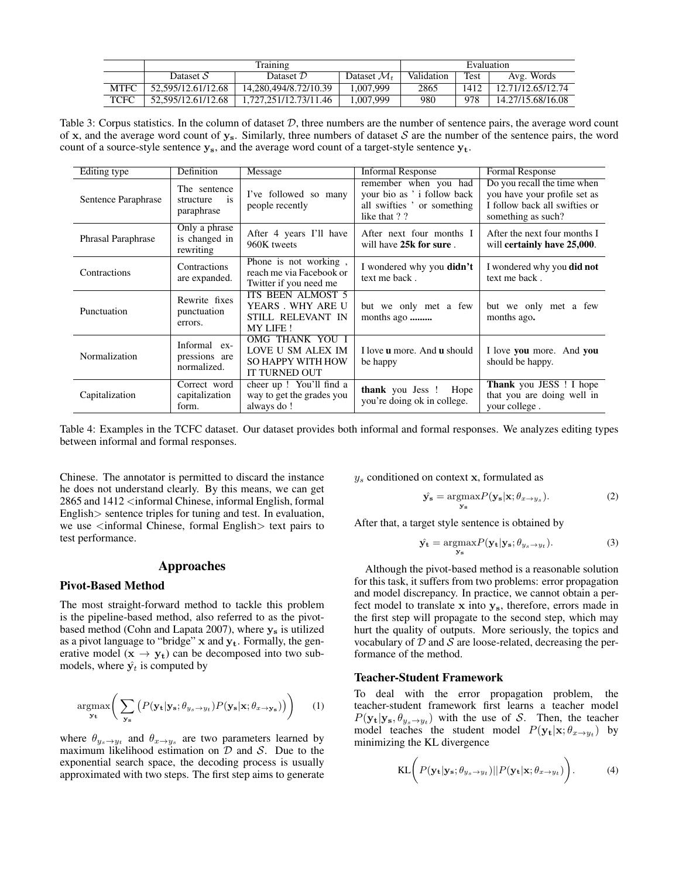|             |                     | Training              |                           | Evaluation |      |                   |
|-------------|---------------------|-----------------------|---------------------------|------------|------|-------------------|
|             | Dataset $S$         | Dataset $\mathcal D$  | Dataset $\mathcal{M}_{+}$ | Validation | Test | Avg. Words        |
| <b>MTFC</b> | 52.595/12.61/12.68  | 14.280.494/8.72/10.39 | .007.999                  | 2865       | 1412 | 12.71/12.65/12.74 |
| <b>TCFC</b> | 52, 595/12.61/12.68 | 1.727.251/12.73/11.46 | .007.999                  | 980        | 978  | 14.27/15.68/16.08 |

Table 3: Corpus statistics. In the column of dataset  $D$ , three numbers are the number of sentence pairs, the average word count of x, and the average word count of  $y_s$ . Similarly, three numbers of dataset S are the number of the sentence pairs, the word count of a source-style sentence  $y_s$ , and the average word count of a target-style sentence  $y_t$ .

| Editing type        | Definition                                    | Message                                                                                  | <b>Informal Response</b>                                                                            | Formal Response                                                                                                    |
|---------------------|-----------------------------------------------|------------------------------------------------------------------------------------------|-----------------------------------------------------------------------------------------------------|--------------------------------------------------------------------------------------------------------------------|
| Sentence Paraphrase | The sentence<br>is<br>structure<br>paraphrase | I've followed so many<br>people recently                                                 | remember when you had<br>your bio as ' i follow back<br>all swifties ' or something<br>like that ?? | Do you recall the time when<br>you have your profile set as<br>I follow back all swifties or<br>something as such? |
| Phrasal Paraphrase  | Only a phrase<br>is changed in<br>rewriting   | After 4 years I'll have<br>960K tweets                                                   | After next four months I<br>will have 25k for sure.                                                 | After the next four months I<br>will certainly have 25,000.                                                        |
| Contractions        | Contractions<br>are expanded.                 | Phone is not working,<br>reach me via Facebook or<br>Twitter if you need me              | I wondered why you <b>didn't</b><br>text me back.                                                   | I wondered why you <b>did not</b><br>text me back.                                                                 |
| Punctuation         | Rewrite fixes<br>punctuation<br>errors.       | ITS BEEN ALMOST 5<br>YEARS, WHY ARE U<br>STILL RELEVANT IN<br><b>MY LIFE!</b>            | but we only met a few<br>months ago                                                                 | but we only met a few<br>months ago.                                                                               |
| Normalization       | Informal ex-<br>pressions are<br>normalized.  | OMG THANK YOU I<br>LOVE U SM ALEX IM<br><b>SO HAPPY WITH HOW</b><br><b>IT TURNED OUT</b> | I love <b>u</b> more. And <b>u</b> should<br>be happy                                               | I love you more. And you<br>should be happy.                                                                       |
| Capitalization      | Correct word<br>capitalization<br>form.       | cheer up ! You'll find a<br>way to get the grades you<br>always do !                     | thank you Jess !<br>Hope<br>you're doing ok in college.                                             | <b>Thank</b> you JESS ! I hope<br>that you are doing well in<br>your college.                                      |

Table 4: Examples in the TCFC dataset. Our dataset provides both informal and formal responses. We analyzes editing types between informal and formal responses.

Chinese. The annotator is permitted to discard the instance he does not understand clearly. By this means, we can get 2865 and 1412 <informal Chinese, informal English, formal English sentence triples for tuning and test. In evaluation, we use <informal Chinese, formal English> text pairs to test performance.

# Approaches

# Pivot-Based Method

The most straight-forward method to tackle this problem is the pipeline-based method, also referred to as the pivotbased method (Cohn and Lapata 2007), where  $y_s$  is utilized as a pivot language to "bridge"  $x$  and  $y_t$ . Formally, the generative model ( $x \rightarrow y_t$ ) can be decomposed into two submodels, where  $\hat{\mathbf{y}}_t$  is computed by

$$
\underset{\mathbf{y_t}}{\text{argmax}} \Bigg( \sum_{\mathbf{y_s}} \Big( P(\mathbf{y_t}|\mathbf{y_s}; \theta_{y_s \to y_t}) P(\mathbf{y_s}|\mathbf{x}; \theta_{x \to \mathbf{y_s}}) \Big) \Bigg) \tag{1}
$$

where  $\theta_{y_s \to y_t}$  and  $\theta_{x \to y_s}$  are two parameters learned by maximum likelihood estimation on  $D$  and  $S$ . Due to the exponential search space, the decoding process is usually approximated with two steps. The first step aims to generate  $y_s$  conditioned on context x, formulated as

$$
\hat{\mathbf{y}}_{\mathbf{s}} = \underset{\mathbf{y}_{\mathbf{s}}}{\operatorname{argmax}} P(\mathbf{y}_{\mathbf{s}}|\mathbf{x}; \theta_{x \to y_s}). \tag{2}
$$

After that, a target style sentence is obtained by

$$
\hat{\mathbf{y}_{t}} = \underset{\mathbf{y}_{s}}{\operatorname{argmax}} P(\mathbf{y}_{t}|\mathbf{y}_{s}; \theta_{y_{s} \to y_{t}}). \tag{3}
$$

Although the pivot-based method is a reasonable solution for this task, it suffers from two problems: error propagation and model discrepancy. In practice, we cannot obtain a perfect model to translate  $x$  into  $y_s$ , therefore, errors made in the first step will propagate to the second step, which may hurt the quality of outputs. More seriously, the topics and vocabulary of  $D$  and  $S$  are loose-related, decreasing the performance of the method.

#### Teacher-Student Framework

To deal with the error propagation problem, the teacher-student framework first learns a teacher model  $P(\mathbf{y_t}|\mathbf{y_s}, \theta_{y_s \to y_t})$  with the use of S. Then, the teacher model teaches the student model  $P(\mathbf{y_t}|\mathbf{x}; \theta_{x \to y_t})$  by minimizing the KL divergence

$$
KL\bigg(P(\mathbf{y_t}|\mathbf{y_s};\theta_{y_s \to y_t})||P(\mathbf{y_t}|\mathbf{x};\theta_{x \to y_t})\bigg). \tag{4}
$$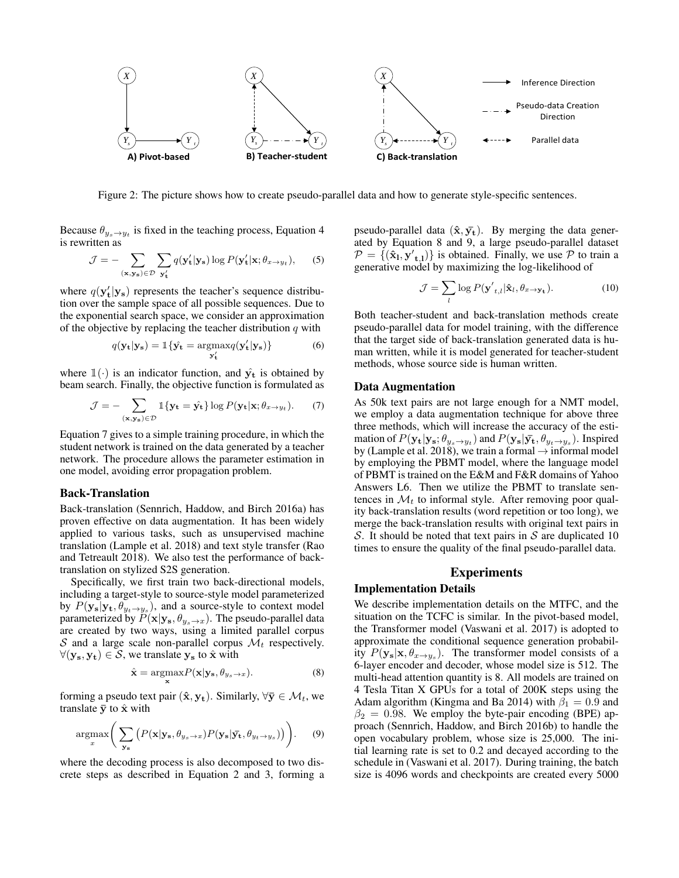

Figure 2: The picture shows how to create pseudo-parallel data and how to generate style-specific sentences.

Because  $\theta_{y_s \to y_t}$  is fixed in the teaching process, Equation 4 is rewritten as

$$
\mathcal{J} = -\sum_{(\mathbf{x}, \mathbf{y}_s) \in \mathcal{D}} \sum_{\mathbf{y'_t}} q(\mathbf{y'_t} | \mathbf{y}_s) \log P(\mathbf{y'_t} | \mathbf{x}; \theta_{x \to y_t}), \quad (5)
$$

where  $q(\mathbf{y'_t}|\mathbf{y_s})$  represents the teacher's sequence distribution over the sample space of all possible sequences. Due to the exponential search space, we consider an approximation of the objective by replacing the teacher distribution  $q$  with

$$
q(\mathbf{y_t}|\mathbf{y_s}) = \mathbb{1}\{\hat{\mathbf{y_t}} = \underset{\mathbf{y_t'}}{\text{argmax}} q(\mathbf{y_t'}|\mathbf{y_s})\} \tag{6}
$$

where  $\mathbb{1}(\cdot)$  is an indicator function, and  $\hat{\mathbf{y}_t}$  is obtained by beam search. Finally, the objective function is formulated as

$$
\mathcal{J} = -\sum_{(\mathbf{x}, \mathbf{y}_s) \in \mathcal{D}} \mathbb{1}\{\mathbf{y_t} = \hat{\mathbf{y_t}}\} \log P(\mathbf{y_t}|\mathbf{x}; \theta_{x \to y_t}). \tag{7}
$$

Equation 7 gives to a simple training procedure, in which the student network is trained on the data generated by a teacher network. The procedure allows the parameter estimation in one model, avoiding error propagation problem.

### Back-Translation

Back-translation (Sennrich, Haddow, and Birch 2016a) has proven effective on data augmentation. It has been widely applied to various tasks, such as unsupervised machine translation (Lample et al. 2018) and text style transfer (Rao and Tetreault 2018). We also test the performance of backtranslation on stylized S2S generation.

Specifically, we first train two back-directional models, including a target-style to source-style model parameterized by  $P(\mathbf{y_s}|\mathbf{y_t}, \theta_{y_t \to y_s})$ , and a source-style to context model parameterized by  $\tilde{P}(\mathbf{x}|\mathbf{y}_{s}, \theta_{y_{s} \to x})$ . The pseudo-parallel data are created by two ways, using a limited parallel corpus S and a large scale non-parallel corpus  $\mathcal{M}_t$  respectively.  $\forall (y_s, y_t) \in S$ , we translate  $y_s$  to  $\hat{x}$  with

$$
\hat{\mathbf{x}} = \underset{\mathbf{x}}{\operatorname{argmax}} P(\mathbf{x}|\mathbf{y}_{\mathbf{s}}, \theta_{y_s \to x}). \tag{8}
$$

forming a pseudo text pair  $(\hat{\mathbf{x}}, \mathbf{y}_t)$ . Similarly,  $\forall \bar{\mathbf{y}} \in \mathcal{M}_t$ , we translate  $\bar{y}$  to  $\hat{x}$  with

$$
\underset{x}{\operatorname{argmax}} \bigg( \sum_{\mathbf{y}_{\mathbf{s}}} \big( P(\mathbf{x}|\mathbf{y}_{\mathbf{s}}, \theta_{y_s \to x}) P(\mathbf{y}_{\mathbf{s}}|\bar{\mathbf{y}}_{\mathbf{t}}, \theta_{y_t \to y_s}) \big) \bigg). \qquad (9)
$$

where the decoding process is also decomposed to two discrete steps as described in Equation 2 and 3, forming a pseudo-parallel data  $(\hat{\mathbf{x}}, \bar{\mathbf{y_t}})$ . By merging the data generated by Equation 8 and 9, a large pseudo-parallel dataset  $\mathcal{P} = \{(\mathbf{\hat{x}}_1, \mathbf{y'}_{t,1})\}$  is obtained. Finally, we use  $\mathcal{P}$  to train a generative model by maximizing the log-likelihood of

$$
\mathcal{J} = \sum_{l} \log P(\mathbf{y'}_{t,l} | \hat{\mathbf{x}}_l, \theta_{x \to \mathbf{y_t}}).
$$
 (10)

Both teacher-student and back-translation methods create pseudo-parallel data for model training, with the difference that the target side of back-translation generated data is human written, while it is model generated for teacher-student methods, whose source side is human written.

## Data Augmentation

As 50k text pairs are not large enough for a NMT model, we employ a data augmentation technique for above three three methods, which will increase the accuracy of the estimation of  $P(\mathbf{y_t}|\mathbf{y_s}; \theta_{y_s \to y_t})$  and  $P(\mathbf{y_s}|\bar{\mathbf{y_t}}, \theta_{y_t \to y_s})$ . Inspired by (Lample et al. 2018), we train a formal  $\rightarrow$  informal model by employing the PBMT model, where the language model of PBMT is trained on the E&M and F&R domains of Yahoo Answers L6. Then we utilize the PBMT to translate sentences in  $\mathcal{M}_t$  to informal style. After removing poor quality back-translation results (word repetition or too long), we merge the back-translation results with original text pairs in S. It should be noted that text pairs in S are duplicated 10 times to ensure the quality of the final pseudo-parallel data.

# Experiments

# Implementation Details

We describe implementation details on the MTFC, and the situation on the TCFC is similar. In the pivot-based model, the Transformer model (Vaswani et al. 2017) is adopted to approximate the conditional sequence generation probability  $P(\mathbf{y}_s|\mathbf{x}, \theta_{x \to y_s})$ . The transformer model consists of a 6-layer encoder and decoder, whose model size is 512. The multi-head attention quantity is 8. All models are trained on 4 Tesla Titan X GPUs for a total of 200K steps using the Adam algorithm (Kingma and Ba 2014) with  $\beta_1 = 0.9$  and  $\beta_2 = 0.98$ . We employ the byte-pair encoding (BPE) approach (Sennrich, Haddow, and Birch 2016b) to handle the open vocabulary problem, whose size is 25,000. The initial learning rate is set to 0.2 and decayed according to the schedule in (Vaswani et al. 2017). During training, the batch size is 4096 words and checkpoints are created every 5000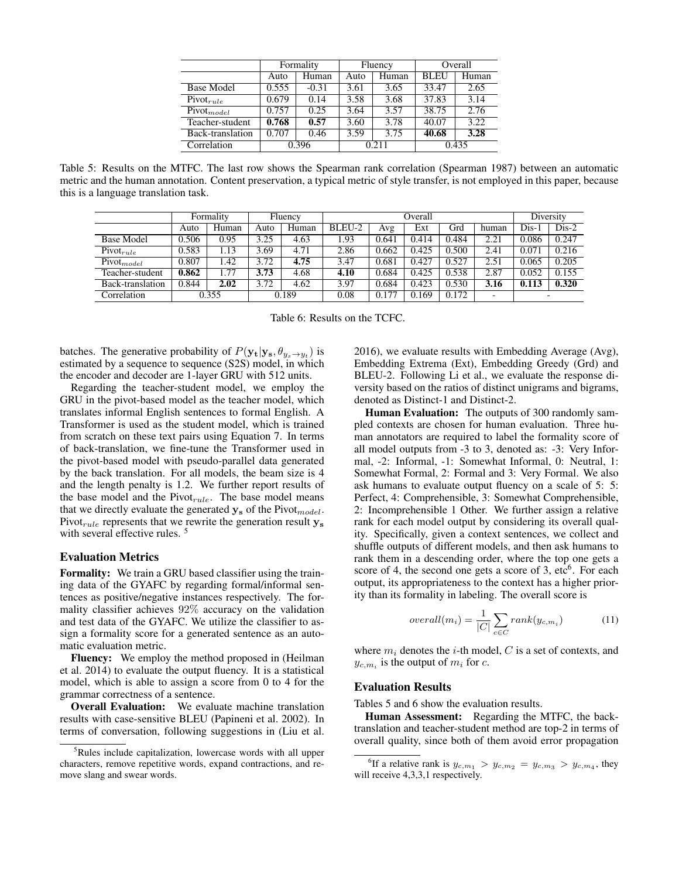|                   | Formality |         |       | Fluency | Overall     |       |  |
|-------------------|-----------|---------|-------|---------|-------------|-------|--|
|                   | Auto      | Human   | Auto  | Human   | <b>BLEU</b> | Human |  |
| <b>Base Model</b> | 0.555     | $-0.31$ | 3.61  | 3.65    | 33.47       | 2.65  |  |
| $Pivot_{rule}$    | 0.679     | 0.14    | 3.58  | 3.68    | 37.83       | 3.14  |  |
| $Pivot_{model}$   | 0.757     | 0.25    | 3.64  | 3.57    | 38.75       | 2.76  |  |
| Teacher-student   | 0.768     | 0.57    | 3.60  | 3.78    | 40.07       | 3.22  |  |
| Back-translation  | 0.707     | 0.46    | 3.59  | 3.75    | 40.68       | 3.28  |  |
| Correlation       | 0.396     |         | 0.211 |         | 0.435       |       |  |

Table 5: Results on the MTFC. The last row shows the Spearman rank correlation (Spearman 1987) between an automatic metric and the human annotation. Content preservation, a typical metric of style transfer, is not employed in this paper, because this is a language translation task.

|                                     |       | Formality |      | Fluency |        | Overall |       |       | Diversity |         |         |
|-------------------------------------|-------|-----------|------|---------|--------|---------|-------|-------|-----------|---------|---------|
|                                     | Auto  | Human     | Auto | Human   | BLEU-2 | Avg     | Ext   | Grd   | human     | $Dis-1$ | $Dis-2$ |
| <b>Base Model</b>                   | 0.506 | 0.95      | 3.25 | 4.63    | . 93   | 0.641   | 0.414 | 0.484 | 2.21      | 0.086   | 0.247   |
| $Pivot_{rule}$                      | 0.583 | 1.13      | 3.69 | 4.71    | 2.86   | 0.662   | 0.425 | 0.500 | 2.41      | 0.071   | 0.216   |
| $\overline{\mathrm{Pivot}}_{model}$ | 0.807 | .42       | 3.72 | 4.75    | 3.47   | 0.681   | 0.427 | 0.527 | 2.51      | 0.065   | 0.205   |
| Teacher-student                     | 0.862 | . 77      | 3.73 | 4.68    | 4.10   | 0.684   | 0.425 | 0.538 | 2.87      | 0.052   | 0.155   |
| Back-translation                    | 0.844 | 2.02      | 3.72 | 4.62    | 3.97   | 0.684   | 0.423 | 0.530 | 3.16      | 0.113   | 0.320   |
| Correlation                         |       | 0.355     |      | 0.189   | 0.08   | 0.177   | 0.169 | 0.172 | -         |         |         |

Table 6: Results on the TCFC.

batches. The generative probability of  $P(\mathbf{y_t}|\mathbf{y_s}, \theta_{y_s \to y_t})$  is estimated by a sequence to sequence (S2S) model, in which the encoder and decoder are 1-layer GRU with 512 units.

Regarding the teacher-student model, we employ the GRU in the pivot-based model as the teacher model, which translates informal English sentences to formal English. A Transformer is used as the student model, which is trained from scratch on these text pairs using Equation 7. In terms of back-translation, we fine-tune the Transformer used in the pivot-based model with pseudo-parallel data generated by the back translation. For all models, the beam size is 4 and the length penalty is 1.2. We further report results of the base model and the  $Pivot_{rule}$ . The base model means that we directly evaluate the generated  $y_s$  of the Pivot $_{model}$ . Pivot<sub>rule</sub> represents that we rewrite the generation result  $y_s$ with several effective rules.<sup>5</sup>

# Evaluation Metrics

Formality: We train a GRU based classifier using the training data of the GYAFC by regarding formal/informal sentences as positive/negative instances respectively. The formality classifier achieves 92% accuracy on the validation and test data of the GYAFC. We utilize the classifier to assign a formality score for a generated sentence as an automatic evaluation metric.

Fluency: We employ the method proposed in (Heilman et al. 2014) to evaluate the output fluency. It is a statistical model, which is able to assign a score from 0 to 4 for the grammar correctness of a sentence.

Overall Evaluation: We evaluate machine translation results with case-sensitive BLEU (Papineni et al. 2002). In terms of conversation, following suggestions in (Liu et al. 2016), we evaluate results with Embedding Average (Avg), Embedding Extrema (Ext), Embedding Greedy (Grd) and BLEU-2. Following Li et al., we evaluate the response diversity based on the ratios of distinct unigrams and bigrams, denoted as Distinct-1 and Distinct-2.

Human Evaluation: The outputs of 300 randomly sampled contexts are chosen for human evaluation. Three human annotators are required to label the formality score of all model outputs from -3 to 3, denoted as: -3: Very Informal, -2: Informal, -1: Somewhat Informal, 0: Neutral, 1: Somewhat Formal, 2: Formal and 3: Very Formal. We also ask humans to evaluate output fluency on a scale of 5: 5: Perfect, 4: Comprehensible, 3: Somewhat Comprehensible, 2: Incomprehensible 1 Other. We further assign a relative rank for each model output by considering its overall quality. Specifically, given a context sentences, we collect and shuffle outputs of different models, and then ask humans to rank them in a descending order, where the top one gets a score of 4, the second one gets a score of 3,  $\text{etc}^6$ . For each output, its appropriateness to the context has a higher priority than its formality in labeling. The overall score is

$$
overall(m_i) = \frac{1}{|C|} \sum_{c \in C} rank(y_{c,m_i})
$$
 (11)

where  $m_i$  denotes the *i*-th model,  $C$  is a set of contexts, and  $y_{c,m_i}$  is the output of  $m_i$  for  $c$ .

### Evaluation Results

Tables 5 and 6 show the evaluation results.

Human Assessment: Regarding the MTFC, the backtranslation and teacher-student method are top-2 in terms of overall quality, since both of them avoid error propagation

<sup>&</sup>lt;sup>5</sup>Rules include capitalization, lowercase words with all upper characters, remove repetitive words, expand contractions, and remove slang and swear words.

<sup>&</sup>lt;sup>6</sup>If a relative rank is  $y_{c,m_1} > y_{c,m_2} = y_{c,m_3} > y_{c,m_4}$ , they will receive 4,3,3,1 respectively.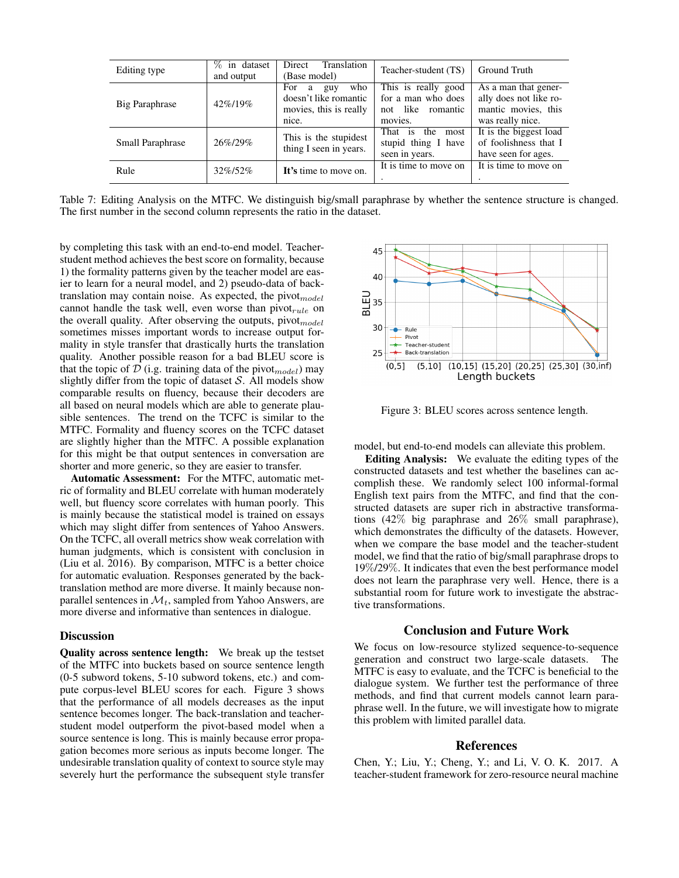| Editing type     | $\%$ in dataset<br>and output | Translation<br>Direct<br>(Base model)                                              | Teacher-student (TS)                                                      | Ground Truth                                                                              |
|------------------|-------------------------------|------------------------------------------------------------------------------------|---------------------------------------------------------------------------|-------------------------------------------------------------------------------------------|
| Big Paraphrase   | 42\%/19\%                     | who<br>For<br>guy<br>a<br>doesn't like romantic<br>movies, this is really<br>nice. | This is really good<br>for a man who does<br>not like romantic<br>movies. | As a man that gener-<br>ally does not like ro-<br>mantic movies, this<br>was really nice. |
| Small Paraphrase | $26\% / 29\%$                 | This is the stupidest<br>thing I seen in years.                                    | the<br>That is<br>most<br>stupid thing I have<br>seen in years.           | It is the biggest load<br>of foolishness that I<br>have seen for ages.                    |
| Rule             | 32%/52%                       | It's time to move on.                                                              | It is time to move on                                                     | It is time to move on                                                                     |

Table 7: Editing Analysis on the MTFC. We distinguish big/small paraphrase by whether the sentence structure is changed. The first number in the second column represents the ratio in the dataset.

by completing this task with an end-to-end model. Teacherstudent method achieves the best score on formality, because 1) the formality patterns given by the teacher model are easier to learn for a neural model, and 2) pseudo-data of backtranslation may contain noise. As expected, the pivot $_{model}$ cannot handle the task well, even worse than  $pivot_{rule}$  on the overall quality. After observing the outputs, pivot $_{model}$ sometimes misses important words to increase output formality in style transfer that drastically hurts the translation quality. Another possible reason for a bad BLEU score is that the topic of  $D$  (i.g. training data of the pivot $_{model}$ ) may slightly differ from the topic of dataset  $S$ . All models show comparable results on fluency, because their decoders are all based on neural models which are able to generate plausible sentences. The trend on the TCFC is similar to the MTFC. Formality and fluency scores on the TCFC dataset are slightly higher than the MTFC. A possible explanation for this might be that output sentences in conversation are shorter and more generic, so they are easier to transfer.

Automatic Assessment: For the MTFC, automatic metric of formality and BLEU correlate with human moderately well, but fluency score correlates with human poorly. This is mainly because the statistical model is trained on essays which may slight differ from sentences of Yahoo Answers. On the TCFC, all overall metrics show weak correlation with human judgments, which is consistent with conclusion in (Liu et al. 2016). By comparison, MTFC is a better choice for automatic evaluation. Responses generated by the backtranslation method are more diverse. It mainly because nonparallel sentences in  $\mathcal{M}_t$ , sampled from Yahoo Answers, are more diverse and informative than sentences in dialogue.

## **Discussion**

Quality across sentence length: We break up the testset of the MTFC into buckets based on source sentence length (0-5 subword tokens, 5-10 subword tokens, etc.) and compute corpus-level BLEU scores for each. Figure 3 shows that the performance of all models decreases as the input sentence becomes longer. The back-translation and teacherstudent model outperform the pivot-based model when a source sentence is long. This is mainly because error propagation becomes more serious as inputs become longer. The undesirable translation quality of context to source style may severely hurt the performance the subsequent style transfer



Figure 3: BLEU scores across sentence length.

model, but end-to-end models can alleviate this problem.

Editing Analysis: We evaluate the editing types of the constructed datasets and test whether the baselines can accomplish these. We randomly select 100 informal-formal English text pairs from the MTFC, and find that the constructed datasets are super rich in abstractive transformations (42% big paraphrase and 26% small paraphrase), which demonstrates the difficulty of the datasets. However, when we compare the base model and the teacher-student model, we find that the ratio of big/small paraphrase drops to 19%/29%. It indicates that even the best performance model does not learn the paraphrase very well. Hence, there is a substantial room for future work to investigate the abstractive transformations.

# Conclusion and Future Work

We focus on low-resource stylized sequence-to-sequence generation and construct two large-scale datasets. The MTFC is easy to evaluate, and the TCFC is beneficial to the dialogue system. We further test the performance of three methods, and find that current models cannot learn paraphrase well. In the future, we will investigate how to migrate this problem with limited parallel data.

### References

Chen, Y.; Liu, Y.; Cheng, Y.; and Li, V. O. K. 2017. A teacher-student framework for zero-resource neural machine